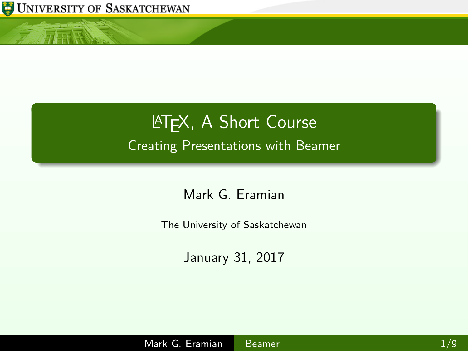

<span id="page-0-0"></span> $\ln k$ 

## **LATEX, A Short Course** Creating Presentations with Beamer

Mark G. Eramian

The University of Saskatchewan

January 31, 2017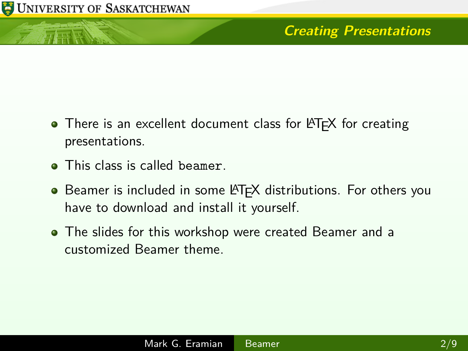## **Creating Presentations**

- There is an excellent document class for LATFX for creating presentations.
- This class is called beamer.
- **•** Beamer is included in some LAT<sub>F</sub>X distributions. For others you have to download and install it yourself.
- The slides for this workshop were created Beamer and a customized Beamer theme.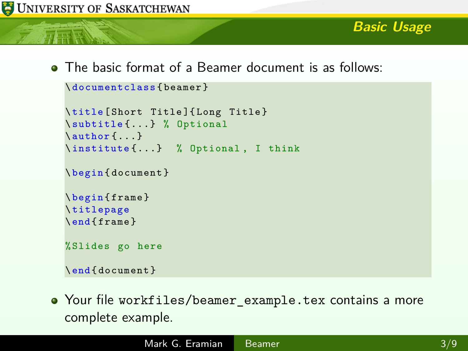

**• The basic format of a Beamer document is as follows:** 

```
\ documentclass { beamer }
\ title [ Short Title ]{ Long Title }
\ subtitle {...} % Optional
\author {...}
\ institute {...} % Optional , I think
\ begin { document }
\ begin { frame }
\ titlepage
\ end { frame }
% Slides go here
\ end { document }
```
• Your file workfiles/beamer example.tex contains a more complete example.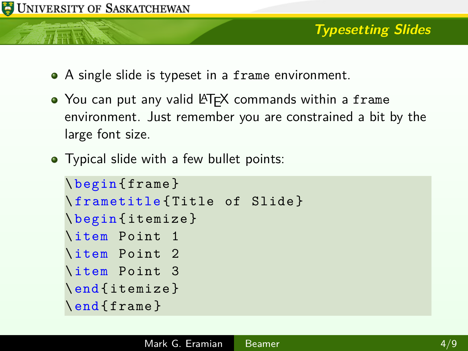- A single slide is typeset in a frame environment.
- You can put any valid LATFX commands within a frame environment. Just remember you are constrained a bit by the large font size.
- Typical slide with a few bullet points:

```
\ begin { frame }
\ frametitle { Title of Slide }
\ begin { itemize }
\ item Point 1
\ item Point 2
\ item Point 3
\end{ itemize }
\end{ frame }
```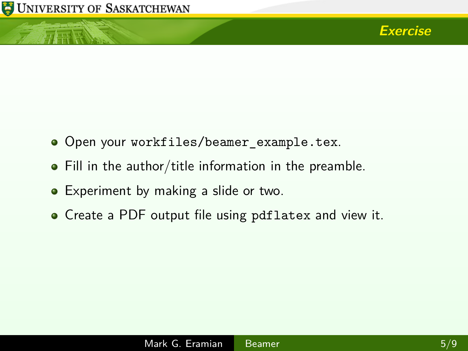信服区



- Open your workfiles/beamer example.tex.
- Fill in the author/title information in the preamble.
- **•** Experiment by making a slide or two.
- Create a PDF output file using pdflatex and view it.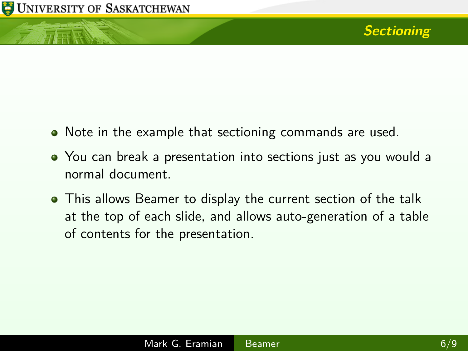- Note in the example that sectioning commands are used.
- You can break a presentation into sections just as you would a normal document.
- This allows Beamer to display the current section of the talk at the top of each slide, and allows auto-generation of a table of contents for the presentation.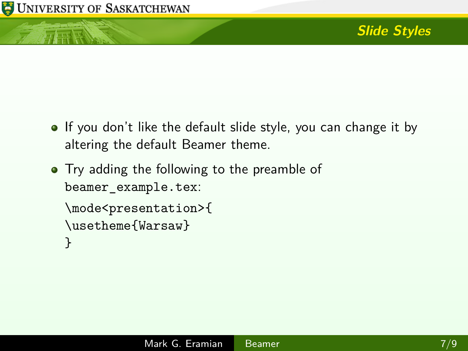有耳豆

- If you don't like the default slide style, you can change it by altering the default Beamer theme.
- Try adding the following to the preamble of beamer\_example.tex:

```
\mode<presentation>{
\usetheme{Warsaw}
```

```
}
```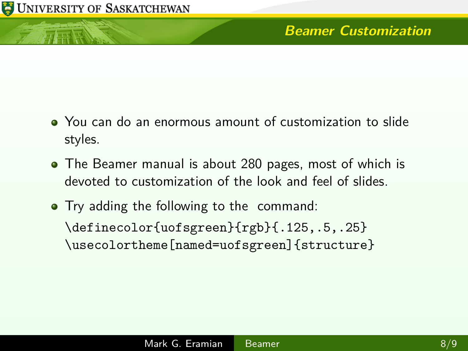- You can do an enormous amount of customization to slide styles.
- The Beamer manual is about 280 pages, most of which is devoted to customization of the look and feel of slides.
- Try adding the following to the command:

\definecolor{uofsgreen}{rgb}{.125,.5,.25} \usecolortheme[named=uofsgreen]{structure}